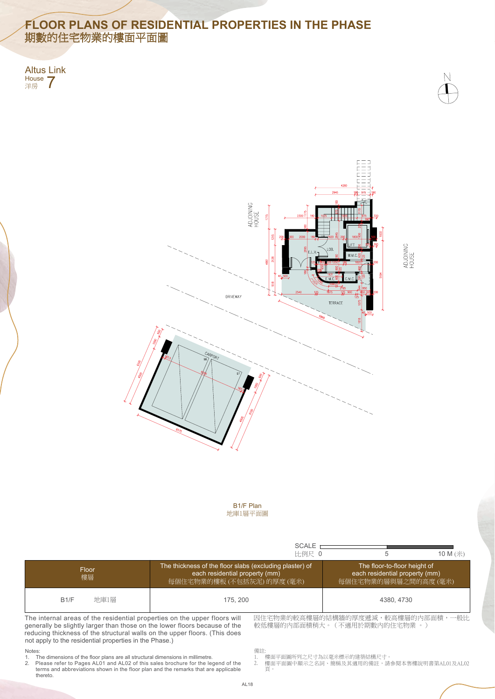- 樓面平面圖所列之尺寸為以毫米標示的建築結構尺寸。
- 2. 頁。 Please refer to Pages AL01 and AL02 of this sales brochure for the legend of the 2. 樓面平面圖中顯示之名詞、簡稱及其適用的備註,請參閱本售樓說明書第AL01及AL02

Altus Link House **7** 







ADJOINING<br>HOUSE

### Notes:

## **FLOOR PLANS OF RESIDENTIAL PROPERTIES IN THE PHASE** 期數的住宅物業的樓面平面圖

- 1. The dimensions of the floor plans are all structural dimensions in millimetre.
- 2. thereto. terms and abbreviations shown in the floor plan and the remarks that are applicable

|                                                                                                                                                                                                                                      |          | SCALE <sub>1</sub><br>比例尺 0                                                                                                                                                                                      | 5          | 10 M (米) |
|--------------------------------------------------------------------------------------------------------------------------------------------------------------------------------------------------------------------------------------|----------|------------------------------------------------------------------------------------------------------------------------------------------------------------------------------------------------------------------|------------|----------|
| Floor<br>樓層                                                                                                                                                                                                                          |          | The thickness of the floor slabs (excluding plaster) of<br>The floor-to-floor height of<br>each residential property (mm)<br>each residential property (mm)<br>每個住宅物業的樓板 (不包括灰泥) 的厚度 (毫米)<br>每個住宅物業的層與層之間的高度(毫米) |            |          |
| 地庫1層<br>B1/F                                                                                                                                                                                                                         | 175, 200 |                                                                                                                                                                                                                  | 4380, 4730 |          |
| The internal areas of the residential properties on the upper floors will<br>generally be slightly larger than those on the lower floors because of the<br>reducing thickness of the structural walls on the unner floors (This does |          | 因住宅物業的較高樓層的結構牆的厚度遞減,較高樓層的內部面積,一般比<br>較低樓層的內部面積稍大。(不適用於期數內的住宅物業 。)                                                                                                                                                |            |          |

reducing thickness of the structural walls on the upper floors. (This does not apply to the residential properties in the Phase.)

備註:

1.

AL18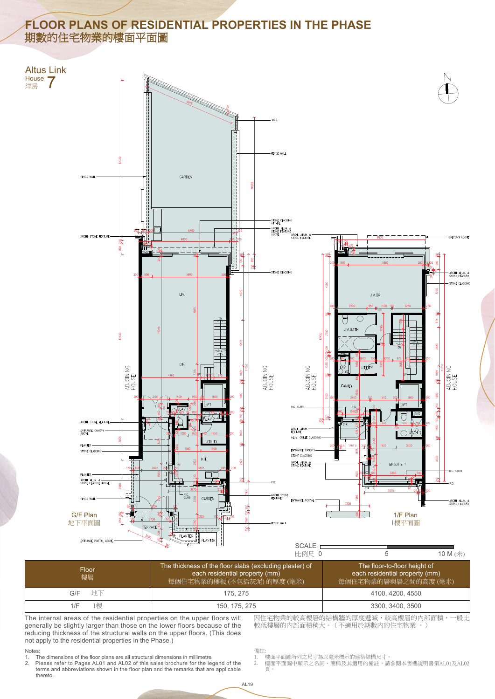

- 1. 樓面平面圖所列之尺寸為以毫米標示的建築結構尺寸。
- 2. 頁。 Please refer to Pages AL01 and AL02 of this sales brochure for the legend of the 2. 樓面平面圖中顯示之名詞、簡稱及其適用的備註,請參閱本售樓說明書第AL01及AL02

# **FLOOR PLANS OF RESIDENTIAL PROPERTIES IN THE PHASE** 期數的住宅物業的樓面平面圖

#### Notes: Notes:

因住宅物業的較高樓層的結構牆的厚度遞減,較高樓層的內部面積,一般比較低樓層的內部面積稍大。(不適用於期數內的住宅物業 。)<br>較低樓層的內部面積稍大。(不適用於期數內的住宅物業 。)<br>1. 樓面平面圖所列之尺寸為以毫米標示的建築結構尺寸。<br>2. 樓面平面圖中顯示之名詞、簡稱及其適用的備註,請參閱本售樓說明書第AL01及AL02<br>頁。 較低樓層的內部面積稍大。(不適用於期數內的住宅物業 。) 較低樓層的內部面積稍大。(不適用於期數內的住宅物業 。)

- 1. The dimensions of the floor plans are all structural dimensions in millimetre.
- 1. The dimensions of the floor plans are all structural dimensions in millimetre.<br>2. Please refer to Pages AL01 and AL02 of this sales brochure for the leţ thereto. thereto. terms and abbreviations shown in the floor plan and the remarks that are applicable terms and abbreviations shown in the floor plan and the remarks that are applicable

The internal areas of the residential properties on the upper floors will The internal areas of the residential properties on the upper floors will generally be slightly larger than those on the lower floors because of the generally be slightly larger than those on the lower floors because of the<br>reducing thickness of the structural walls on the upper floors. (This does not apply to the residential properties in the Phase.) not apply to the residential properties in the Phase.)

| Floor<br>樓層 | The thickness of the floor slabs (excluding plaster) of<br>each residential property (mm)<br> 每個住宅物業的樓板(不包括灰泥)的 <u>厚度(毫米)</u> | The floor-to-floor height of<br>each residential property (mm)<br>每個住宅物業的層與層之間的高度(毫米) |  |
|-------------|-------------------------------------------------------------------------------------------------------------------------------|---------------------------------------------------------------------------------------|--|
| 地下<br>G/F   | 175, 275                                                                                                                      | 4100, 4200, 4550                                                                      |  |
| [樓<br>1/F   | 150, 175, 275                                                                                                                 | 3300, 3400, 3500                                                                      |  |



備註: 備註: